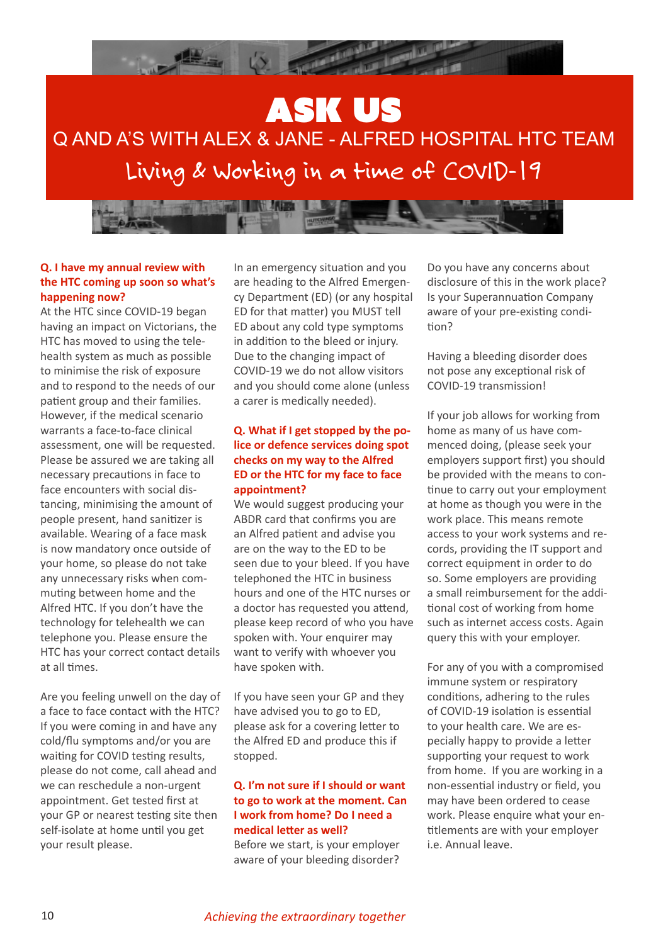



## **Q. I have my annual review with the HTC coming up soon so what's happening now?**

At the HTC since COVID-19 began having an impact on Victorians, the HTC has moved to using the telehealth system as much as possible to minimise the risk of exposure and to respond to the needs of our patient group and their families. However, if the medical scenario warrants a face-to-face clinical assessment, one will be requested. Please be assured we are taking all necessary precautions in face to face encounters with social distancing, minimising the amount of people present, hand sanitizer is available. Wearing of a face mask is now mandatory once outside of your home, so please do not take any unnecessary risks when commuting between home and the Alfred HTC. If you don't have the technology for telehealth we can telephone you. Please ensure the HTC has your correct contact details at all times.

Are you feeling unwell on the day of a face to face contact with the HTC? If you were coming in and have any cold/flu symptoms and/or you are waiting for COVID testing results, please do not come, call ahead and we can reschedule a non-urgent appointment. Get tested first at your GP or nearest testing site then self-isolate at home until you get your result please.

In an emergency situation and you are heading to the Alfred Emergency Department (ED) (or any hospital ED for that matter) you MUST tell ED about any cold type symptoms in addition to the bleed or injury. Due to the changing impact of COVID-19 we do not allow visitors and you should come alone (unless a carer is medically needed).

## **Q. What if I get stopped by the police or defence services doing spot checks on my way to the Alfred ED or the HTC for my face to face appointment?**

We would suggest producing your ABDR card that confirms you are an Alfred patient and advise you are on the way to the ED to be seen due to your bleed. If you have telephoned the HTC in business hours and one of the HTC nurses or a doctor has requested you attend, please keep record of who you have spoken with. Your enquirer may want to verify with whoever you have spoken with.

If you have seen your GP and they have advised you to go to ED, please ask for a covering letter to the Alfred ED and produce this if stopped.

## **Q. I'm not sure if I should or want to go to work at the moment. Can I work from home? Do I need a medical letter as well?**

Before we start, is your employer aware of your bleeding disorder? Do you have any concerns about disclosure of this in the work place? Is your Superannuation Company aware of your pre-existing condition?

Having a bleeding disorder does not pose any exceptional risk of COVID-19 transmission!

If your job allows for working from home as many of us have commenced doing, (please seek your employers support first) you should be provided with the means to continue to carry out your employment at home as though you were in the work place. This means remote access to your work systems and records, providing the IT support and correct equipment in order to do so. Some employers are providing a small reimbursement for the additional cost of working from home such as internet access costs. Again query this with your employer.

For any of you with a compromised immune system or respiratory conditions, adhering to the rules of COVID-19 isolation is essential to your health care. We are especially happy to provide a letter supporting your request to work from home. If you are working in a non-essential industry or field, you may have been ordered to cease work. Please enquire what your entitlements are with your employer i.e. Annual leave.